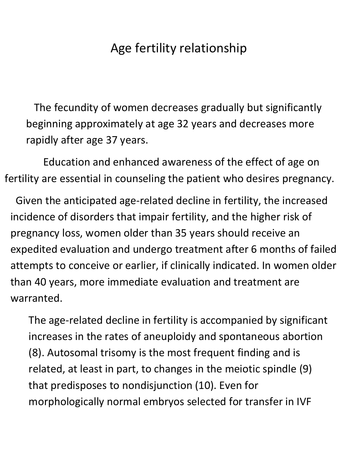## Age fertility relationship

 The fecundity of women decreases gradually but significantly beginning approximately at age 32 years and decreases more rapidly after age 37 years.

 Education and enhanced awareness of the effect of age on fertility are essential in counseling the patient who desires pregnancy.

 Given the anticipated age-related decline in fertility, the increased incidence of disorders that impair fertility, and the higher risk of pregnancy loss, women older than 35 years should receive an expedited evaluation and undergo treatment after 6 months of failed attempts to conceive or earlier, if clinically indicated. In women older than 40 years, more immediate evaluation and treatment are warranted.

The age-related decline in fertility is accompanied by significant increases in the rates of aneuploidy and spontaneous abortion (8). Autosomal trisomy is the most frequent finding and is related, at least in part, to changes in the meiotic spindle (9) that predisposes to nondisjunction (10). Even for morphologically normal embryos selected for transfer in IVF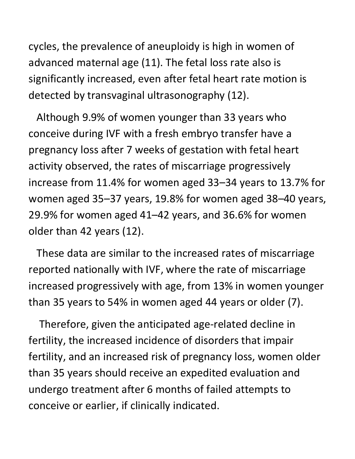cycles, the prevalence of aneuploidy is high in women of advanced maternal age (11). The fetal loss rate also is significantly increased, even after fetal heart rate motion is detected by transvaginal ultrasonography (12).

 Although 9.9% of women younger than 33 years who conceive during IVF with a fresh embryo transfer have a pregnancy loss after 7 weeks of gestation with fetal heart activity observed, the rates of miscarriage progressively increase from 11.4% for women aged 33–34 years to 13.7% for women aged 35–37 years, 19.8% for women aged 38–40 years, 29.9% for women aged 41–42 years, and 36.6% for women older than 42 years (12).

 These data are similar to the increased rates of miscarriage reported nationally with IVF, where the rate of miscarriage increased progressively with age, from 13% in women younger than 35 years to 54% in women aged 44 years or older (7).

 Therefore, given the anticipated age-related decline in fertility, the increased incidence of disorders that impair fertility, and an increased risk of pregnancy loss, women older than 35 years should receive an expedited evaluation and undergo treatment after 6 months of failed attempts to conceive or earlier, if clinically indicated.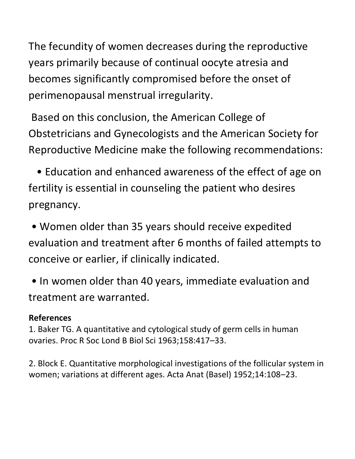The fecundity of women decreases during the reproductive years primarily because of continual oocyte atresia and becomes significantly compromised before the onset of perimenopausal menstrual irregularity.

Based on this conclusion, the American College of Obstetricians and Gynecologists and the American Society for Reproductive Medicine make the following recommendations:

 • Education and enhanced awareness of the effect of age on fertility is essential in counseling the patient who desires pregnancy.

• Women older than 35 years should receive expedited evaluation and treatment after 6 months of failed attempts to conceive or earlier, if clinically indicated.

• In women older than 40 years, immediate evaluation and treatment are warranted.

## **References**

1. Baker TG. A quantitative and cytological study of germ cells in human ovaries. Proc R Soc Lond B Biol Sci 1963;158:417–33.

2. Block E. Quantitative morphological investigations of the follicular system in women; variations at different ages. Acta Anat (Basel) 1952;14:108–23.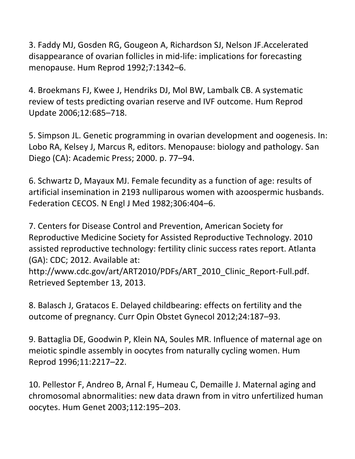3. Faddy MJ, Gosden RG, Gougeon A, Richardson SJ, Nelson JF.Accelerated disappearance of ovarian follicles in mid-life: implications for forecasting menopause. Hum Reprod 1992;7:1342–6.

4. Broekmans FJ, Kwee J, Hendriks DJ, Mol BW, Lambalk CB. A systematic review of tests predicting ovarian reserve and IVF outcome. Hum Reprod Update 2006;12:685–718.

5. Simpson JL. Genetic programming in ovarian development and oogenesis. In: Lobo RA, Kelsey J, Marcus R, editors. Menopause: biology and pathology. San Diego (CA): Academic Press; 2000. p. 77–94.

6. Schwartz D, Mayaux MJ. Female fecundity as a function of age: results of artificial insemination in 2193 nulliparous women with azoospermic husbands. Federation CECOS. N Engl J Med 1982;306:404–6.

7. Centers for Disease Control and Prevention, American Society for Reproductive Medicine Society for Assisted Reproductive Technology. 2010 assisted reproductive technology: fertility clinic success rates report. Atlanta (GA): CDC; 2012. Available at: http://www.cdc.gov/art/ART2010/PDFs/ART\_2010\_Clinic\_Report-Full.pdf. Retrieved September 13, 2013.

8. Balasch J, Gratacos E. Delayed childbearing: effects on fertility and the outcome of pregnancy. Curr Opin Obstet Gynecol 2012;24:187–93.

9. Battaglia DE, Goodwin P, Klein NA, Soules MR. Influence of maternal age on meiotic spindle assembly in oocytes from naturally cycling women. Hum Reprod 1996;11:2217–22.

10. Pellestor F, Andreo B, Arnal F, Humeau C, Demaille J. Maternal aging and chromosomal abnormalities: new data drawn from in vitro unfertilized human oocytes. Hum Genet 2003;112:195–203.